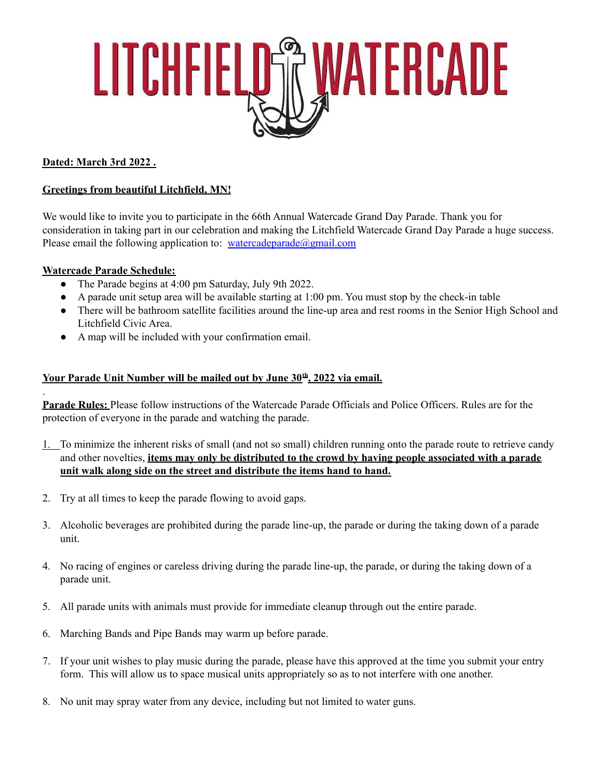

### **Dated: March 3rd 2022 .**

#### **Greetings from beautiful Litchfield, MN!**

We would like to invite you to participate in the 66th Annual Watercade Grand Day Parade. Thank you for consideration in taking part in our celebration and making the Litchfield Watercade Grand Day Parade a huge success. Please email the following application to: [watercadeparade@gmail.com](mailto:watercadeparade@gmail.com)

#### **Watercade Parade Schedule:**

.

- The Parade begins at 4:00 pm Saturday, July 9th 2022.
- A parade unit setup area will be available starting at 1:00 pm. You must stop by the check-in table
- There will be bathroom satellite facilities around the line-up area and rest rooms in the Senior High School and Litchfield Civic Area.
- A map will be included with your confirmation email.

#### **Your Parade Unit Number will be mailed out by June 30 th , 2022 via email.**

**Parade Rules:** Please follow instructions of the Watercade Parade Officials and Police Officers. Rules are for the protection of everyone in the parade and watching the parade.

- 1. To minimize the inherent risks of small (and not so small) children running onto the parade route to retrieve candy and other novelties, **items may only be distributed to the crowd by having people associated with a parade unit walk along side on the street and distribute the items hand to hand.**
- 2. Try at all times to keep the parade flowing to avoid gaps.
- 3. Alcoholic beverages are prohibited during the parade line-up, the parade or during the taking down of a parade unit.
- 4. No racing of engines or careless driving during the parade line-up, the parade, or during the taking down of a parade unit.
- 5. All parade units with animals must provide for immediate cleanup through out the entire parade.
- 6. Marching Bands and Pipe Bands may warm up before parade.
- 7. If your unit wishes to play music during the parade, please have this approved at the time you submit your entry form. This will allow us to space musical units appropriately so as to not interfere with one another.
- 8. No unit may spray water from any device, including but not limited to water guns.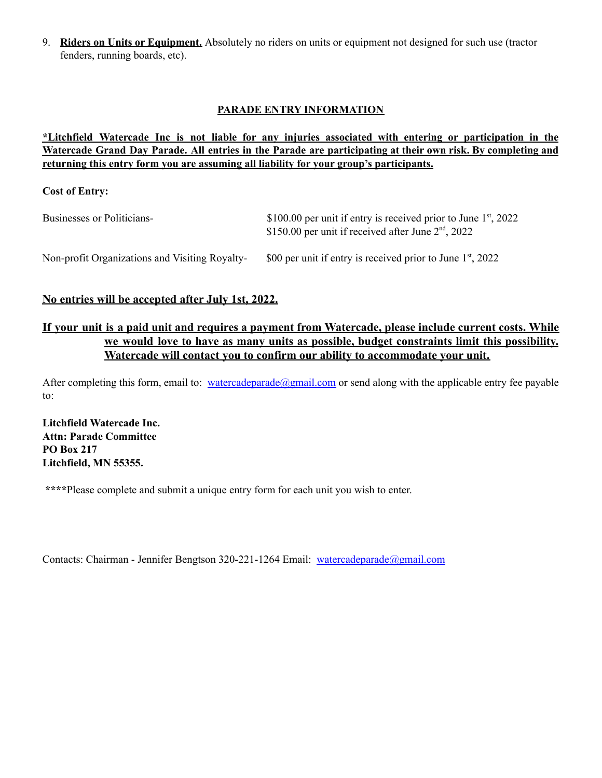9. **Riders on Units or Equipment.** Absolutely no riders on units or equipment not designed for such use (tractor fenders, running boards, etc).

#### **PARADE ENTRY INFORMATION**

#### **\*Litchfield Watercade Inc is not liable for any injuries associated with entering or participation in the** Watercade Grand Day Parade. All entries in the Parade are participating at their own risk. By completing and **returning this entry form you are assuming all liability for your group's participants.**

**Cost of Entry:**

| Businesses or Politicians-                     | \$100.00 per unit if entry is received prior to June $1st$ , 2022<br>\$150.00 per unit if received after June $2nd$ , 2022 |
|------------------------------------------------|----------------------------------------------------------------------------------------------------------------------------|
| Non-profit Organizations and Visiting Royalty- | \$00 per unit if entry is received prior to June $1st$ , 2022                                                              |

#### **No entries will be accepted after July 1st, 2022.**

## If your unit is a paid unit and requires a payment from Watercade, please include current costs. While **we would love to have as many units as possible, budget constraints limit this possibility. Watercade will contact you to confirm our ability to accommodate your unit.**

After completing this form, email to: [watercadeparade@gmail.com](mailto:watercadeparade@gmail.com) or send along with the applicable entry fee payable to:

**Litchfield Watercade Inc. Attn: Parade Committee PO Box 217 Litchfield, MN 55355.**

**\*\*\*\***Please complete and submit a unique entry form for each unit you wish to enter.

Contacts: Chairman - Jennifer Bengtson 320-221-1264 Email: [watercadeparade@gmail.com](mailto:watercadeparade@gmail.com)